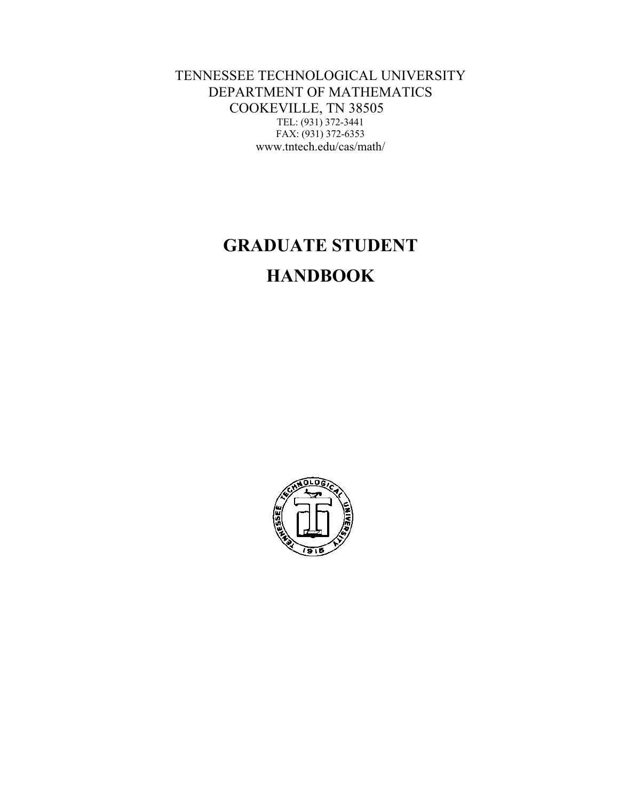TENNESSEE TECHNOLOGICAL UNIVERSITY DEPARTMENT OF MATHEMATICS COOKEVILLE, TN 38505 TEL: (931) 372-3441 FAX: (931) 372-6353 www.tntech.edu/cas/math/

# **GRADUATE STUDENT HANDBOOK**

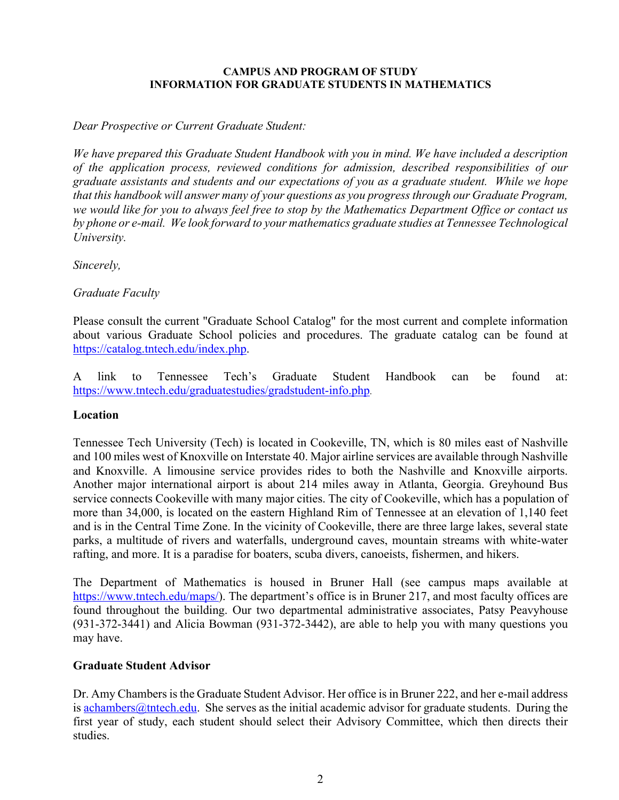#### **CAMPUS AND PROGRAM OF STUDY INFORMATION FOR GRADUATE STUDENTS IN MATHEMATICS**

#### *Dear Prospective or Current Graduate Student:*

*We have prepared this Graduate Student Handbook with you in mind. We have included a description of the application process, reviewed conditions for admission, described responsibilities of our graduate assistants and students and our expectations of you as a graduate student. While we hope that this handbook will answer many of your questions as you progressthrough our Graduate Program, we would like for you to always feel free to stop by the Mathematics Department Office or contact us by phone or e-mail. We look forward to your mathematics graduate studies at Tennessee Technological University.*

*Sincerely,*

*Graduate Faculty* 

Please consult the current "Graduate School Catalog" for the most current and complete information about various Graduate School policies and procedures. The graduate catalog can be found at https://catalog.tntech.edu/index.php.

A link to Tennessee Tech's Graduate Student Handbook can be found at: https://www.tntech.edu/graduatestudies/gradstudent-info.php.

#### **Location**

Tennessee Tech University (Tech) is located in Cookeville, TN, which is 80 miles east of Nashville and 100 miles west of Knoxville on Interstate 40. Major airline services are available through Nashville and Knoxville. A limousine service provides rides to both the Nashville and Knoxville airports. Another major international airport is about 214 miles away in Atlanta, Georgia. Greyhound Bus service connects Cookeville with many major cities. The city of Cookeville, which has a population of more than 34,000, is located on the eastern Highland Rim of Tennessee at an elevation of 1,140 feet and is in the Central Time Zone. In the vicinity of Cookeville, there are three large lakes, several state parks, a multitude of rivers and waterfalls, underground caves, mountain streams with white-water rafting, and more. It is a paradise for boaters, scuba divers, canoeists, fishermen, and hikers.

The Department of Mathematics is housed in Bruner Hall (see campus maps available at https://www.tntech.edu/maps/). The department's office is in Bruner 217, and most faculty offices are found throughout the building. Our two departmental administrative associates, Patsy Peavyhouse (931-372-3441) and Alicia Bowman (931-372-3442), are able to help you with many questions you may have.

#### **Graduate Student Advisor**

Dr. Amy Chambers is the Graduate Student Advisor. Her office is in Bruner 222, and her e-mail address is  $achambers@tntech.edu$ . She serves as the initial academic advisor for graduate students. During the first year of study, each student should select their Advisory Committee, which then directs their studies.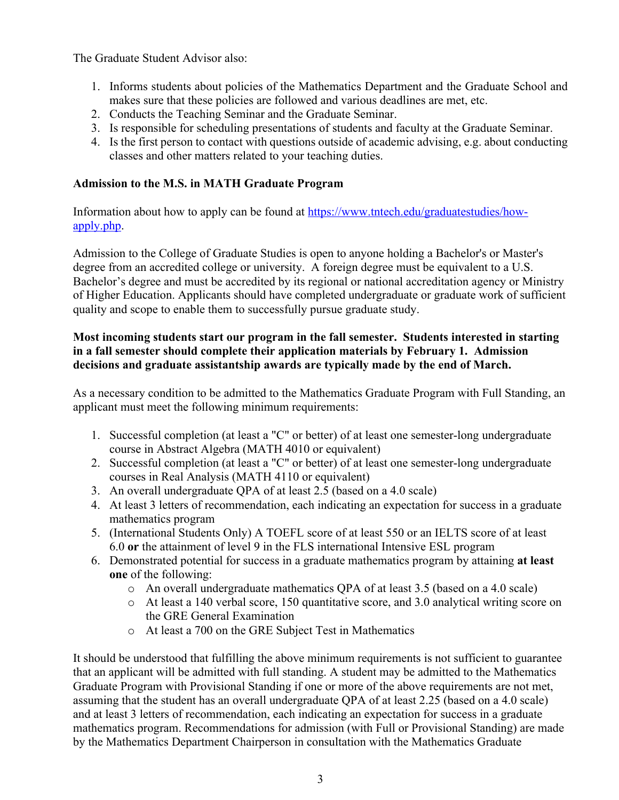The Graduate Student Advisor also:

- 1. Informs students about policies of the Mathematics Department and the Graduate School and makes sure that these policies are followed and various deadlines are met, etc.
- 2. Conducts the Teaching Seminar and the Graduate Seminar.
- 3. Is responsible for scheduling presentations of students and faculty at the Graduate Seminar.
- 4. Is the first person to contact with questions outside of academic advising, e.g. about conducting classes and other matters related to your teaching duties.

## **Admission to the M.S. in MATH Graduate Program**

Information about how to apply can be found at https://www.tntech.edu/graduatestudies/howapply.php.

Admission to the College of Graduate Studies is open to anyone holding a Bachelor's or Master's degree from an accredited college or university. A foreign degree must be equivalent to a U.S. Bachelor's degree and must be accredited by its regional or national accreditation agency or Ministry of Higher Education. Applicants should have completed undergraduate or graduate work of sufficient quality and scope to enable them to successfully pursue graduate study.

## **Most incoming students start our program in the fall semester. Students interested in starting in a fall semester should complete their application materials by February 1. Admission decisions and graduate assistantship awards are typically made by the end of March.**

As a necessary condition to be admitted to the Mathematics Graduate Program with Full Standing, an applicant must meet the following minimum requirements:

- 1. Successful completion (at least a "C" or better) of at least one semester-long undergraduate course in Abstract Algebra (MATH 4010 or equivalent)
- 2. Successful completion (at least a "C" or better) of at least one semester-long undergraduate courses in Real Analysis (MATH 4110 or equivalent)
- 3. An overall undergraduate QPA of at least 2.5 (based on a 4.0 scale)
- 4. At least 3 letters of recommendation, each indicating an expectation for success in a graduate mathematics program
- 5. (International Students Only) A TOEFL score of at least 550 or an IELTS score of at least 6.0 **or** the attainment of level 9 in the FLS international Intensive ESL program
- 6. Demonstrated potential for success in a graduate mathematics program by attaining **at least one** of the following:
	- o An overall undergraduate mathematics QPA of at least 3.5 (based on a 4.0 scale)
	- o At least a 140 verbal score, 150 quantitative score, and 3.0 analytical writing score on the GRE General Examination
	- o At least a 700 on the GRE Subject Test in Mathematics

It should be understood that fulfilling the above minimum requirements is not sufficient to guarantee that an applicant will be admitted with full standing. A student may be admitted to the Mathematics Graduate Program with Provisional Standing if one or more of the above requirements are not met, assuming that the student has an overall undergraduate QPA of at least 2.25 (based on a 4.0 scale) and at least 3 letters of recommendation, each indicating an expectation for success in a graduate mathematics program. Recommendations for admission (with Full or Provisional Standing) are made by the Mathematics Department Chairperson in consultation with the Mathematics Graduate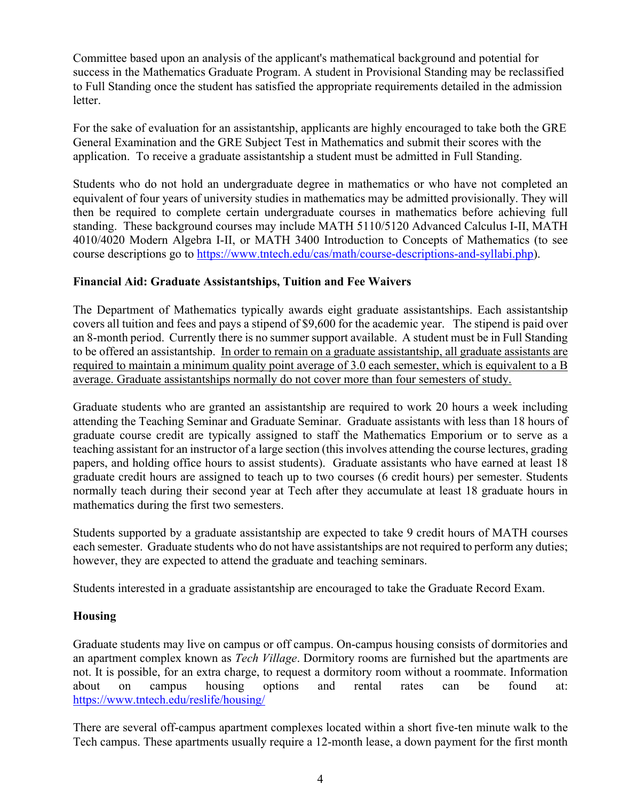Committee based upon an analysis of the applicant's mathematical background and potential for success in the Mathematics Graduate Program. A student in Provisional Standing may be reclassified to Full Standing once the student has satisfied the appropriate requirements detailed in the admission letter.

For the sake of evaluation for an assistantship, applicants are highly encouraged to take both the GRE General Examination and the GRE Subject Test in Mathematics and submit their scores with the application. To receive a graduate assistantship a student must be admitted in Full Standing.

Students who do not hold an undergraduate degree in mathematics or who have not completed an equivalent of four years of university studies in mathematics may be admitted provisionally. They will then be required to complete certain undergraduate courses in mathematics before achieving full standing. These background courses may include MATH 5110/5120 Advanced Calculus I-II, MATH 4010/4020 Modern Algebra I-II, or MATH 3400 Introduction to Concepts of Mathematics (to see course descriptions go to https://www.tntech.edu/cas/math/course-descriptions-and-syllabi.php).

## **Financial Aid: Graduate Assistantships, Tuition and Fee Waivers**

The Department of Mathematics typically awards eight graduate assistantships. Each assistantship covers all tuition and fees and pays a stipend of \$9,600 for the academic year. The stipend is paid over an 8-month period. Currently there is no summer support available. A student must be in Full Standing to be offered an assistantship. In order to remain on a graduate assistantship, all graduate assistants are required to maintain a minimum quality point average of 3.0 each semester, which is equivalent to a B average. Graduate assistantships normally do not cover more than four semesters of study.

Graduate students who are granted an assistantship are required to work 20 hours a week including attending the Teaching Seminar and Graduate Seminar. Graduate assistants with less than 18 hours of graduate course credit are typically assigned to staff the Mathematics Emporium or to serve as a teaching assistant for an instructor of a large section (this involves attending the course lectures, grading papers, and holding office hours to assist students). Graduate assistants who have earned at least 18 graduate credit hours are assigned to teach up to two courses (6 credit hours) per semester. Students normally teach during their second year at Tech after they accumulate at least 18 graduate hours in mathematics during the first two semesters.

Students supported by a graduate assistantship are expected to take 9 credit hours of MATH courses each semester. Graduate students who do not have assistantships are not required to perform any duties; however, they are expected to attend the graduate and teaching seminars.

Students interested in a graduate assistantship are encouraged to take the Graduate Record Exam.

# **Housing**

Graduate students may live on campus or off campus. On-campus housing consists of dormitories and an apartment complex known as *Tech Village*. Dormitory rooms are furnished but the apartments are not. It is possible, for an extra charge, to request a dormitory room without a roommate. Information about on campus housing options and rental rates can be found at: https://www.tntech.edu/reslife/housing/

There are several off-campus apartment complexes located within a short five-ten minute walk to the Tech campus. These apartments usually require a 12-month lease, a down payment for the first month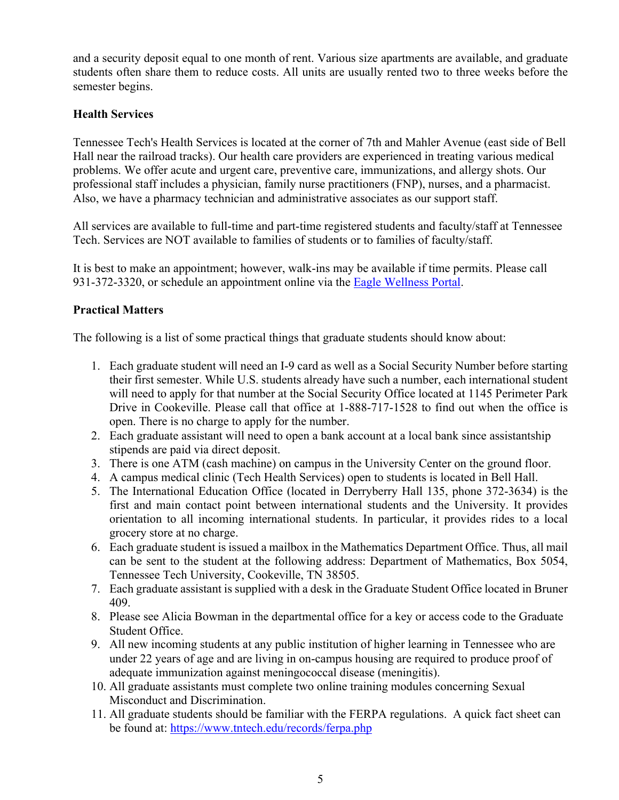and a security deposit equal to one month of rent. Various size apartments are available, and graduate students often share them to reduce costs. All units are usually rented two to three weeks before the semester begins.

## **Health Services**

Tennessee Tech's Health Services is located at the corner of 7th and Mahler Avenue (east side of Bell Hall near the railroad tracks). Our health care providers are experienced in treating various medical problems. We offer acute and urgent care, preventive care, immunizations, and allergy shots. Our professional staff includes a physician, family nurse practitioners (FNP), nurses, and a pharmacist. Also, we have a pharmacy technician and administrative associates as our support staff.

All services are available to full-time and part-time registered students and faculty/staff at Tennessee Tech. Services are NOT available to families of students or to families of faculty/staff.

It is best to make an appointment; however, walk-ins may be available if time permits. Please call 931-372-3320, or schedule an appointment online via the Eagle Wellness Portal.

## **Practical Matters**

The following is a list of some practical things that graduate students should know about:

- 1. Each graduate student will need an I-9 card as well as a Social Security Number before starting their first semester. While U.S. students already have such a number, each international student will need to apply for that number at the Social Security Office located at 1145 Perimeter Park Drive in Cookeville. Please call that office at 1-888-717-1528 to find out when the office is open. There is no charge to apply for the number.
- 2. Each graduate assistant will need to open a bank account at a local bank since assistantship stipends are paid via direct deposit.
- 3. There is one ATM (cash machine) on campus in the University Center on the ground floor.
- 4. A campus medical clinic (Tech Health Services) open to students is located in Bell Hall.
- 5. The International Education Office (located in Derryberry Hall 135, phone 372-3634) is the first and main contact point between international students and the University. It provides orientation to all incoming international students. In particular, it provides rides to a local grocery store at no charge.
- 6. Each graduate student is issued a mailbox in the Mathematics Department Office. Thus, all mail can be sent to the student at the following address: Department of Mathematics, Box 5054, Tennessee Tech University, Cookeville, TN 38505.
- 7. Each graduate assistant is supplied with a desk in the Graduate Student Office located in Bruner 409.
- 8. Please see Alicia Bowman in the departmental office for a key or access code to the Graduate Student Office.
- 9. All new incoming students at any public institution of higher learning in Tennessee who are under 22 years of age and are living in on-campus housing are required to produce proof of adequate immunization against meningococcal disease (meningitis).
- 10. All graduate assistants must complete two online training modules concerning Sexual Misconduct and Discrimination.
- 11. All graduate students should be familiar with the FERPA regulations. A quick fact sheet can be found at: https://www.tntech.edu/records/ferpa.php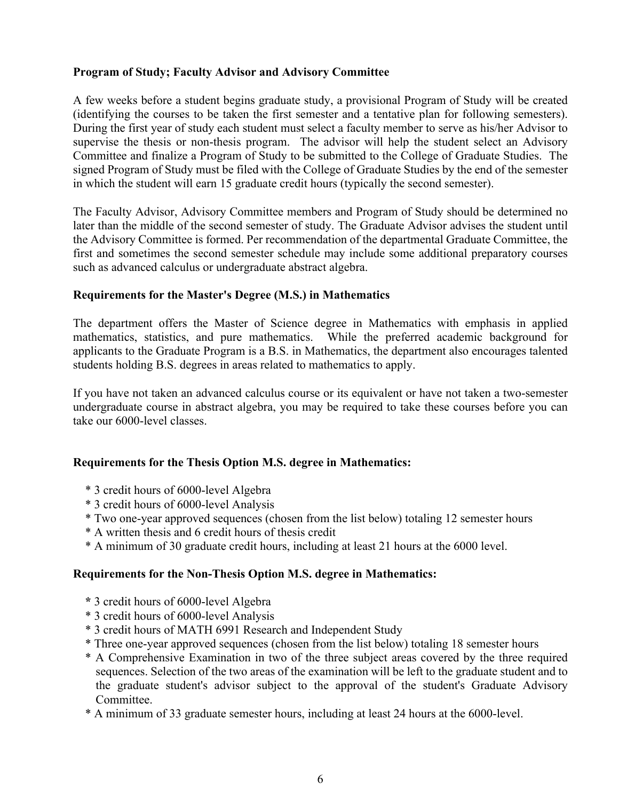## **Program of Study; Faculty Advisor and Advisory Committee**

A few weeks before a student begins graduate study, a provisional Program of Study will be created (identifying the courses to be taken the first semester and a tentative plan for following semesters). During the first year of study each student must select a faculty member to serve as his/her Advisor to supervise the thesis or non-thesis program. The advisor will help the student select an Advisory Committee and finalize a Program of Study to be submitted to the College of Graduate Studies. The signed Program of Study must be filed with the College of Graduate Studies by the end of the semester in which the student will earn 15 graduate credit hours (typically the second semester).

The Faculty Advisor, Advisory Committee members and Program of Study should be determined no later than the middle of the second semester of study. The Graduate Advisor advises the student until the Advisory Committee is formed. Per recommendation of the departmental Graduate Committee, the first and sometimes the second semester schedule may include some additional preparatory courses such as advanced calculus or undergraduate abstract algebra.

## **Requirements for the Master's Degree (M.S.) in Mathematics**

The department offers the Master of Science degree in Mathematics with emphasis in applied mathematics, statistics, and pure mathematics. While the preferred academic background for applicants to the Graduate Program is a B.S. in Mathematics, the department also encourages talented students holding B.S. degrees in areas related to mathematics to apply.

If you have not taken an advanced calculus course or its equivalent or have not taken a two-semester undergraduate course in abstract algebra, you may be required to take these courses before you can take our 6000-level classes.

#### **Requirements for the Thesis Option M.S. degree in Mathematics:**

- \* 3 credit hours of 6000-level Algebra
- \* 3 credit hours of 6000-level Analysis
- \* Two one-year approved sequences (chosen from the list below) totaling 12 semester hours
- \* A written thesis and 6 credit hours of thesis credit
- \* A minimum of 30 graduate credit hours, including at least 21 hours at the 6000 level.

#### **Requirements for the Non-Thesis Option M.S. degree in Mathematics:**

- **\*** 3 credit hours of 6000-level Algebra
- \* 3 credit hours of 6000-level Analysis
- \* 3 credit hours of MATH 6991 Research and Independent Study
- \* Three one-year approved sequences (chosen from the list below) totaling 18 semester hours
- \* A Comprehensive Examination in two of the three subject areas covered by the three required sequences. Selection of the two areas of the examination will be left to the graduate student and to the graduate student's advisor subject to the approval of the student's Graduate Advisory Committee.
- \* A minimum of 33 graduate semester hours, including at least 24 hours at the 6000-level.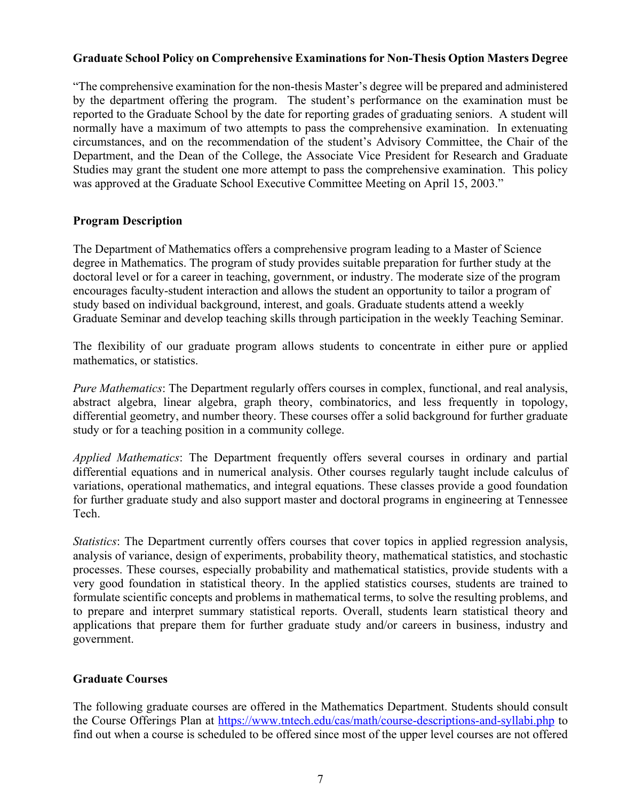## **Graduate School Policy on Comprehensive Examinations for Non-Thesis Option Masters Degree**

"The comprehensive examination for the non-thesis Master's degree will be prepared and administered by the department offering the program. The student's performance on the examination must be reported to the Graduate School by the date for reporting grades of graduating seniors. A student will normally have a maximum of two attempts to pass the comprehensive examination. In extenuating circumstances, and on the recommendation of the student's Advisory Committee, the Chair of the Department, and the Dean of the College, the Associate Vice President for Research and Graduate Studies may grant the student one more attempt to pass the comprehensive examination. This policy was approved at the Graduate School Executive Committee Meeting on April 15, 2003."

#### **Program Description**

The Department of Mathematics offers a comprehensive program leading to a Master of Science degree in Mathematics. The program of study provides suitable preparation for further study at the doctoral level or for a career in teaching, government, or industry. The moderate size of the program encourages faculty-student interaction and allows the student an opportunity to tailor a program of study based on individual background, interest, and goals. Graduate students attend a weekly Graduate Seminar and develop teaching skills through participation in the weekly Teaching Seminar.

The flexibility of our graduate program allows students to concentrate in either pure or applied mathematics, or statistics.

*Pure Mathematics*: The Department regularly offers courses in complex, functional, and real analysis, abstract algebra, linear algebra, graph theory, combinatorics, and less frequently in topology, differential geometry, and number theory. These courses offer a solid background for further graduate study or for a teaching position in a community college.

*Applied Mathematics*: The Department frequently offers several courses in ordinary and partial differential equations and in numerical analysis. Other courses regularly taught include calculus of variations, operational mathematics, and integral equations. These classes provide a good foundation for further graduate study and also support master and doctoral programs in engineering at Tennessee Tech.

*Statistics*: The Department currently offers courses that cover topics in applied regression analysis, analysis of variance, design of experiments, probability theory, mathematical statistics, and stochastic processes. These courses, especially probability and mathematical statistics, provide students with a very good foundation in statistical theory. In the applied statistics courses, students are trained to formulate scientific concepts and problems in mathematical terms, to solve the resulting problems, and to prepare and interpret summary statistical reports. Overall, students learn statistical theory and applications that prepare them for further graduate study and/or careers in business, industry and government.

## **Graduate Courses**

The following graduate courses are offered in the Mathematics Department. Students should consult the Course Offerings Plan at https://www.tntech.edu/cas/math/course-descriptions-and-syllabi.php to find out when a course is scheduled to be offered since most of the upper level courses are not offered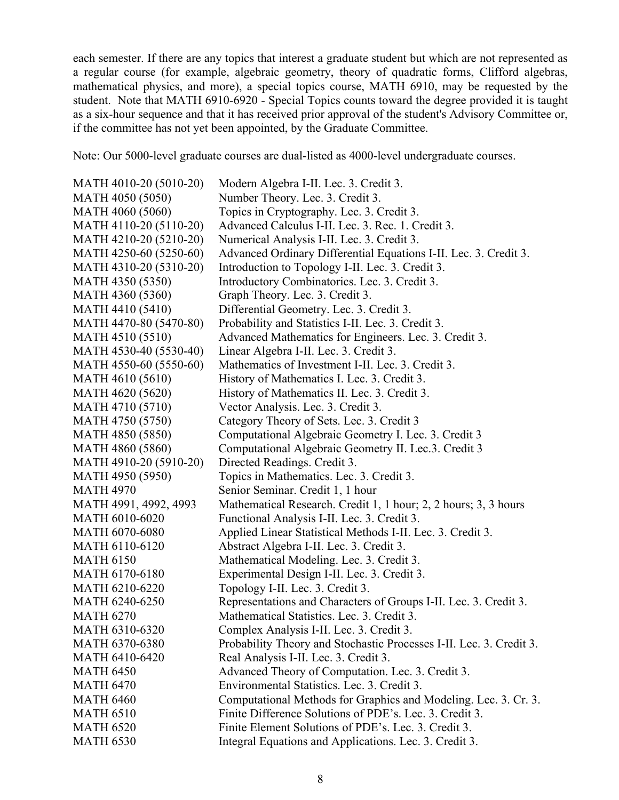each semester. If there are any topics that interest a graduate student but which are not represented as a regular course (for example, algebraic geometry, theory of quadratic forms, Clifford algebras, mathematical physics, and more), a special topics course, MATH 6910, may be requested by the student. Note that MATH 6910-6920 - Special Topics counts toward the degree provided it is taught as a six-hour sequence and that it has received prior approval of the student's Advisory Committee or, if the committee has not yet been appointed, by the Graduate Committee.

Note: Our 5000-level graduate courses are dual-listed as 4000-level undergraduate courses.

| MATH 4010-20 (5010-20) | Modern Algebra I-II. Lec. 3. Credit 3.                              |
|------------------------|---------------------------------------------------------------------|
| MATH 4050 (5050)       | Number Theory. Lec. 3. Credit 3.                                    |
| MATH 4060 (5060)       | Topics in Cryptography. Lec. 3. Credit 3.                           |
| MATH 4110-20 (5110-20) | Advanced Calculus I-II. Lec. 3. Rec. 1. Credit 3.                   |
| MATH 4210-20 (5210-20) | Numerical Analysis I-II. Lec. 3. Credit 3.                          |
| MATH 4250-60 (5250-60) | Advanced Ordinary Differential Equations I-II. Lec. 3. Credit 3.    |
| MATH 4310-20 (5310-20) | Introduction to Topology I-II. Lec. 3. Credit 3.                    |
| MATH 4350 (5350)       | Introductory Combinatorics. Lec. 3. Credit 3.                       |
| MATH 4360 (5360)       | Graph Theory. Lec. 3. Credit 3.                                     |
| MATH 4410 (5410)       | Differential Geometry. Lec. 3. Credit 3.                            |
| MATH 4470-80 (5470-80) | Probability and Statistics I-II. Lec. 3. Credit 3.                  |
| MATH 4510 (5510)       | Advanced Mathematics for Engineers. Lec. 3. Credit 3.               |
| MATH 4530-40 (5530-40) | Linear Algebra I-II. Lec. 3. Credit 3.                              |
| MATH 4550-60 (5550-60) | Mathematics of Investment I-II. Lec. 3. Credit 3.                   |
| MATH 4610 (5610)       | History of Mathematics I. Lec. 3. Credit 3.                         |
| MATH 4620 (5620)       | History of Mathematics II. Lec. 3. Credit 3.                        |
| MATH 4710 (5710)       | Vector Analysis. Lec. 3. Credit 3.                                  |
| MATH 4750 (5750)       | Category Theory of Sets. Lec. 3. Credit 3                           |
| MATH 4850 (5850)       | Computational Algebraic Geometry I. Lec. 3. Credit 3                |
| MATH 4860 (5860)       | Computational Algebraic Geometry II. Lec.3. Credit 3                |
| MATH 4910-20 (5910-20) | Directed Readings. Credit 3.                                        |
| MATH 4950 (5950)       | Topics in Mathematics. Lec. 3. Credit 3.                            |
| <b>MATH 4970</b>       | Senior Seminar. Credit 1, 1 hour                                    |
| MATH 4991, 4992, 4993  | Mathematical Research. Credit 1, 1 hour; 2, 2 hours; 3, 3 hours     |
| <b>MATH 6010-6020</b>  | Functional Analysis I-II. Lec. 3. Credit 3.                         |
| <b>MATH 6070-6080</b>  | Applied Linear Statistical Methods I-II. Lec. 3. Credit 3.          |
| <b>MATH 6110-6120</b>  | Abstract Algebra I-II. Lec. 3. Credit 3.                            |
| <b>MATH 6150</b>       | Mathematical Modeling. Lec. 3. Credit 3.                            |
| <b>MATH 6170-6180</b>  | Experimental Design I-II. Lec. 3. Credit 3.                         |
| MATH 6210-6220         | Topology I-II. Lec. 3. Credit 3.                                    |
| <b>MATH 6240-6250</b>  | Representations and Characters of Groups I-II. Lec. 3. Credit 3.    |
| <b>MATH 6270</b>       | Mathematical Statistics. Lec. 3. Credit 3.                          |
| MATH 6310-6320         | Complex Analysis I-II. Lec. 3. Credit 3                             |
| MATH 6370-6380         | Probability Theory and Stochastic Processes I-II. Lec. 3. Credit 3. |
| <b>MATH 6410-6420</b>  | Real Analysis I-II. Lec. 3. Credit 3.                               |
| <b>MATH 6450</b>       | Advanced Theory of Computation. Lec. 3. Credit 3.                   |
| <b>MATH 6470</b>       | Environmental Statistics. Lec. 3. Credit 3.                         |
| <b>MATH 6460</b>       | Computational Methods for Graphics and Modeling. Lec. 3. Cr. 3.     |
| <b>MATH 6510</b>       | Finite Difference Solutions of PDE's. Lec. 3. Credit 3.             |
| <b>MATH 6520</b>       | Finite Element Solutions of PDE's. Lec. 3. Credit 3.                |
| <b>MATH 6530</b>       | Integral Equations and Applications. Lec. 3. Credit 3.              |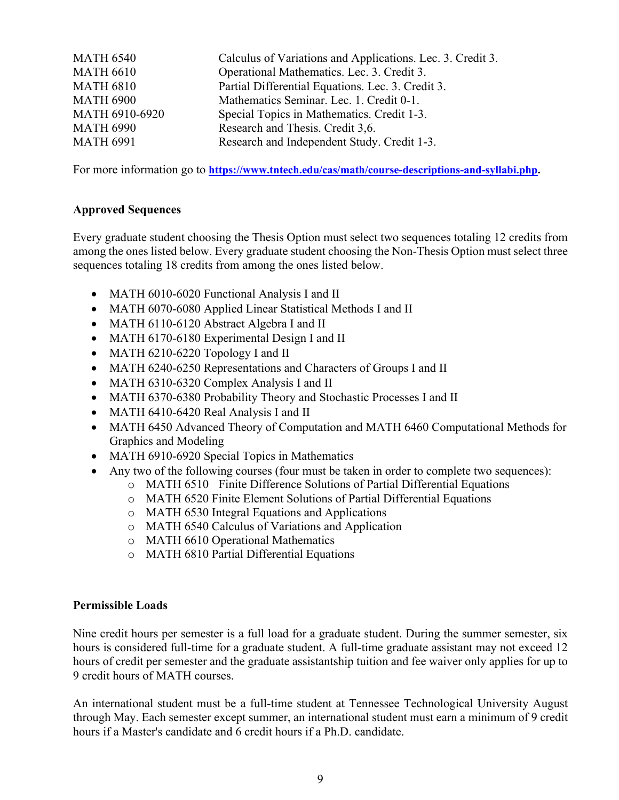| Calculus of Variations and Applications. Lec. 3. Credit 3. |
|------------------------------------------------------------|
| Operational Mathematics. Lec. 3. Credit 3.                 |
| Partial Differential Equations. Lec. 3. Credit 3.          |
| Mathematics Seminar. Lec. 1. Credit 0-1.                   |
| Special Topics in Mathematics. Credit 1-3.                 |
| Research and Thesis. Credit 3,6.                           |
| Research and Independent Study. Credit 1-3.                |
|                                                            |

For more information go to **https://www.tntech.edu/cas/math/course-descriptions-and-syllabi.php.**

## **Approved Sequences**

Every graduate student choosing the Thesis Option must select two sequences totaling 12 credits from among the ones listed below. Every graduate student choosing the Non-Thesis Option must select three sequences totaling 18 credits from among the ones listed below.

- MATH 6010-6020 Functional Analysis I and II
- MATH 6070-6080 Applied Linear Statistical Methods I and II
- MATH 6110-6120 Abstract Algebra I and II
- MATH 6170-6180 Experimental Design I and II
- MATH 6210-6220 Topology I and II
- MATH 6240-6250 Representations and Characters of Groups I and II
- MATH 6310-6320 Complex Analysis I and II
- MATH 6370-6380 Probability Theory and Stochastic Processes I and II
- MATH 6410-6420 Real Analysis I and II
- MATH 6450 Advanced Theory of Computation and MATH 6460 Computational Methods for Graphics and Modeling
- MATH 6910-6920 Special Topics in Mathematics
- Any two of the following courses (four must be taken in order to complete two sequences):
	- o MATH 6510 Finite Difference Solutions of Partial Differential Equations
	- o MATH 6520 Finite Element Solutions of Partial Differential Equations
	- o MATH 6530 Integral Equations and Applications
	- o MATH 6540 Calculus of Variations and Application
	- o MATH 6610 Operational Mathematics
	- o MATH 6810 Partial Differential Equations

#### **Permissible Loads**

Nine credit hours per semester is a full load for a graduate student. During the summer semester, six hours is considered full-time for a graduate student. A full-time graduate assistant may not exceed 12 hours of credit per semester and the graduate assistantship tuition and fee waiver only applies for up to 9 credit hours of MATH courses.

An international student must be a full-time student at Tennessee Technological University August through May. Each semester except summer, an international student must earn a minimum of 9 credit hours if a Master's candidate and 6 credit hours if a Ph.D. candidate.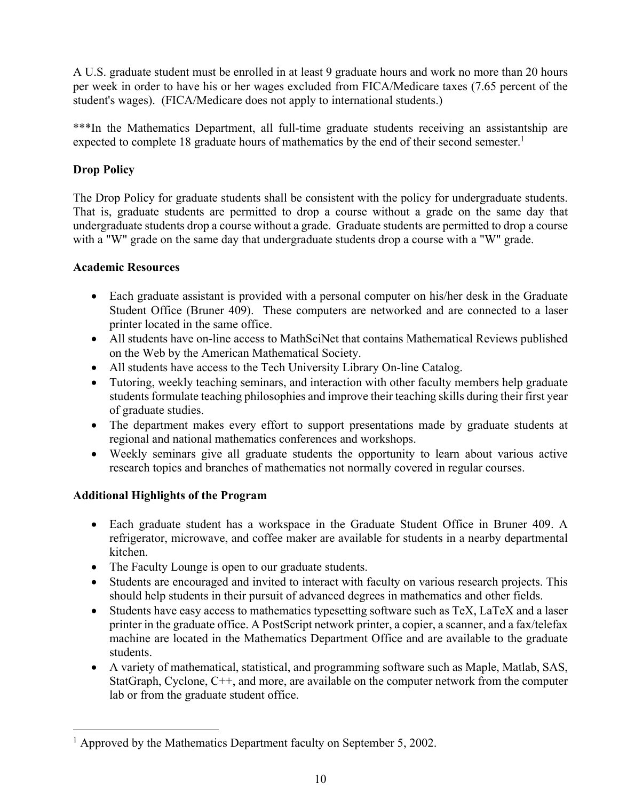A U.S. graduate student must be enrolled in at least 9 graduate hours and work no more than 20 hours per week in order to have his or her wages excluded from FICA/Medicare taxes (7.65 percent of the student's wages). (FICA/Medicare does not apply to international students.)

\*\*\*In the Mathematics Department, all full-time graduate students receiving an assistantship are expected to complete 18 graduate hours of mathematics by the end of their second semester.<sup>1</sup>

# **Drop Policy**

The Drop Policy for graduate students shall be consistent with the policy for undergraduate students. That is, graduate students are permitted to drop a course without a grade on the same day that undergraduate students drop a course without a grade. Graduate students are permitted to drop a course with a "W" grade on the same day that undergraduate students drop a course with a "W" grade.

# **Academic Resources**

- Each graduate assistant is provided with a personal computer on his/her desk in the Graduate Student Office (Bruner 409). These computers are networked and are connected to a laser printer located in the same office.
- All students have on-line access to MathSciNet that contains Mathematical Reviews published on the Web by the American Mathematical Society.
- All students have access to the Tech University Library On-line Catalog.
- Tutoring, weekly teaching seminars, and interaction with other faculty members help graduate students formulate teaching philosophies and improve their teaching skills during their first year of graduate studies.
- The department makes every effort to support presentations made by graduate students at regional and national mathematics conferences and workshops.
- Weekly seminars give all graduate students the opportunity to learn about various active research topics and branches of mathematics not normally covered in regular courses.

# **Additional Highlights of the Program**

- Each graduate student has a workspace in the Graduate Student Office in Bruner 409. A refrigerator, microwave, and coffee maker are available for students in a nearby departmental kitchen.
- The Faculty Lounge is open to our graduate students.
- Students are encouraged and invited to interact with faculty on various research projects. This should help students in their pursuit of advanced degrees in mathematics and other fields.
- Students have easy access to mathematics typesetting software such as TeX, LaTeX and a laser printer in the graduate office. A PostScript network printer, a copier, a scanner, and a fax/telefax machine are located in the Mathematics Department Office and are available to the graduate students.
- A variety of mathematical, statistical, and programming software such as Maple, Matlab, SAS, StatGraph, Cyclone, C++, and more, are available on the computer network from the computer lab or from the graduate student office.

<sup>&</sup>lt;sup>1</sup> Approved by the Mathematics Department faculty on September 5, 2002.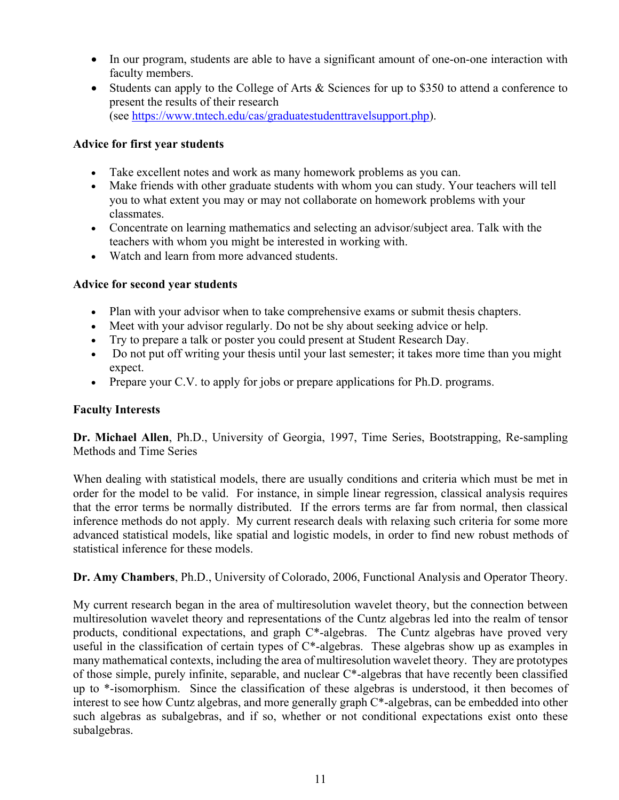- In our program, students are able to have a significant amount of one-on-one interaction with faculty members.
- Students can apply to the College of Arts & Sciences for up to \$350 to attend a conference to present the results of their research (see https://www.tntech.edu/cas/graduatestudenttravelsupport.php).

## **Advice for first year students**

- Take excellent notes and work as many homework problems as you can.
- Make friends with other graduate students with whom you can study. Your teachers will tell you to what extent you may or may not collaborate on homework problems with your classmates.
- Concentrate on learning mathematics and selecting an advisor/subject area. Talk with the teachers with whom you might be interested in working with.
- Watch and learn from more advanced students.

## **Advice for second year students**

- Plan with your advisor when to take comprehensive exams or submit thesis chapters.
- Meet with your advisor regularly. Do not be shy about seeking advice or help.
- Try to prepare a talk or poster you could present at Student Research Day.
- Do not put off writing your thesis until your last semester; it takes more time than you might expect.
- Prepare your C.V. to apply for jobs or prepare applications for Ph.D. programs.

#### **Faculty Interests**

**Dr. Michael Allen**, Ph.D., University of Georgia, 1997, Time Series, Bootstrapping, Re-sampling Methods and Time Series

When dealing with statistical models, there are usually conditions and criteria which must be met in order for the model to be valid. For instance, in simple linear regression, classical analysis requires that the error terms be normally distributed. If the errors terms are far from normal, then classical inference methods do not apply. My current research deals with relaxing such criteria for some more advanced statistical models, like spatial and logistic models, in order to find new robust methods of statistical inference for these models.

**Dr. Amy Chambers**, Ph.D., University of Colorado, 2006, Functional Analysis and Operator Theory.

My current research began in the area of multiresolution wavelet theory, but the connection between multiresolution wavelet theory and representations of the Cuntz algebras led into the realm of tensor products, conditional expectations, and graph  $C^*$ -algebras. The Cuntz algebras have proved very useful in the classification of certain types of C\*-algebras. These algebras show up as examples in many mathematical contexts, including the area of multiresolution wavelet theory. They are prototypes of those simple, purely infinite, separable, and nuclear C\*-algebras that have recently been classified up to \*-isomorphism. Since the classification of these algebras is understood, it then becomes of interest to see how Cuntz algebras, and more generally graph C\*-algebras, can be embedded into other such algebras as subalgebras, and if so, whether or not conditional expectations exist onto these subalgebras.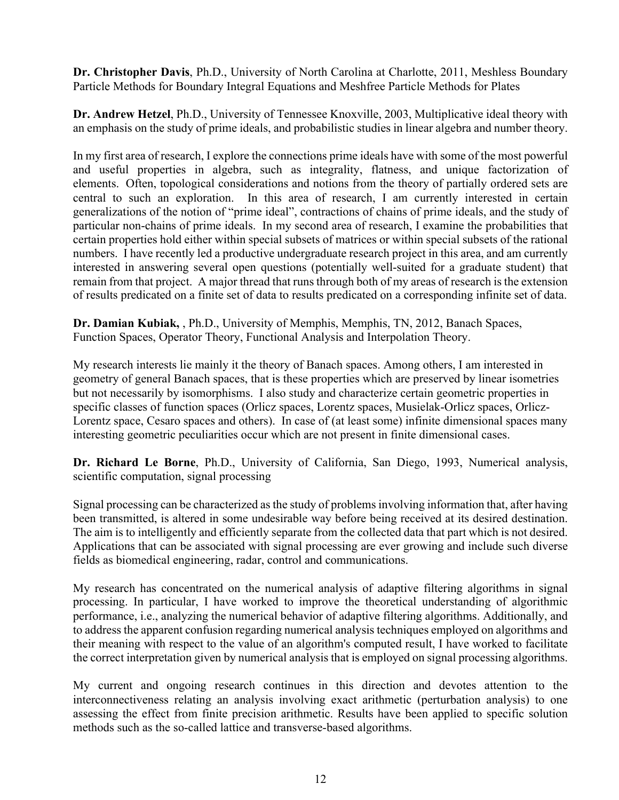**Dr. Christopher Davis**, Ph.D., University of North Carolina at Charlotte, 2011, Meshless Boundary Particle Methods for Boundary Integral Equations and Meshfree Particle Methods for Plates

**Dr. Andrew Hetzel**, Ph.D., University of Tennessee Knoxville, 2003, Multiplicative ideal theory with an emphasis on the study of prime ideals, and probabilistic studies in linear algebra and number theory.

In my first area of research, I explore the connections prime ideals have with some of the most powerful and useful properties in algebra, such as integrality, flatness, and unique factorization of elements. Often, topological considerations and notions from the theory of partially ordered sets are central to such an exploration. In this area of research, I am currently interested in certain generalizations of the notion of "prime ideal", contractions of chains of prime ideals, and the study of particular non-chains of prime ideals. In my second area of research, I examine the probabilities that certain properties hold either within special subsets of matrices or within special subsets of the rational numbers. I have recently led a productive undergraduate research project in this area, and am currently interested in answering several open questions (potentially well-suited for a graduate student) that remain from that project. A major thread that runs through both of my areas of research is the extension of results predicated on a finite set of data to results predicated on a corresponding infinite set of data.

**Dr. Damian Kubiak,** , Ph.D., University of Memphis, Memphis, TN, 2012, Banach Spaces, Function Spaces, Operator Theory, Functional Analysis and Interpolation Theory.

My research interests lie mainly it the theory of Banach spaces. Among others, I am interested in geometry of general Banach spaces, that is these properties which are preserved by linear isometries but not necessarily by isomorphisms. I also study and characterize certain geometric properties in specific classes of function spaces (Orlicz spaces, Lorentz spaces, Musielak-Orlicz spaces, Orlicz-Lorentz space, Cesaro spaces and others). In case of (at least some) infinite dimensional spaces many interesting geometric peculiarities occur which are not present in finite dimensional cases.

**Dr. Richard Le Borne**, Ph.D., University of California, San Diego, 1993, Numerical analysis, scientific computation, signal processing

Signal processing can be characterized as the study of problems involving information that, after having been transmitted, is altered in some undesirable way before being received at its desired destination. The aim is to intelligently and efficiently separate from the collected data that part which is not desired. Applications that can be associated with signal processing are ever growing and include such diverse fields as biomedical engineering, radar, control and communications.

My research has concentrated on the numerical analysis of adaptive filtering algorithms in signal processing. In particular, I have worked to improve the theoretical understanding of algorithmic performance, i.e., analyzing the numerical behavior of adaptive filtering algorithms. Additionally, and to address the apparent confusion regarding numerical analysis techniques employed on algorithms and their meaning with respect to the value of an algorithm's computed result, I have worked to facilitate the correct interpretation given by numerical analysis that is employed on signal processing algorithms.

My current and ongoing research continues in this direction and devotes attention to the interconnectiveness relating an analysis involving exact arithmetic (perturbation analysis) to one assessing the effect from finite precision arithmetic. Results have been applied to specific solution methods such as the so-called lattice and transverse-based algorithms.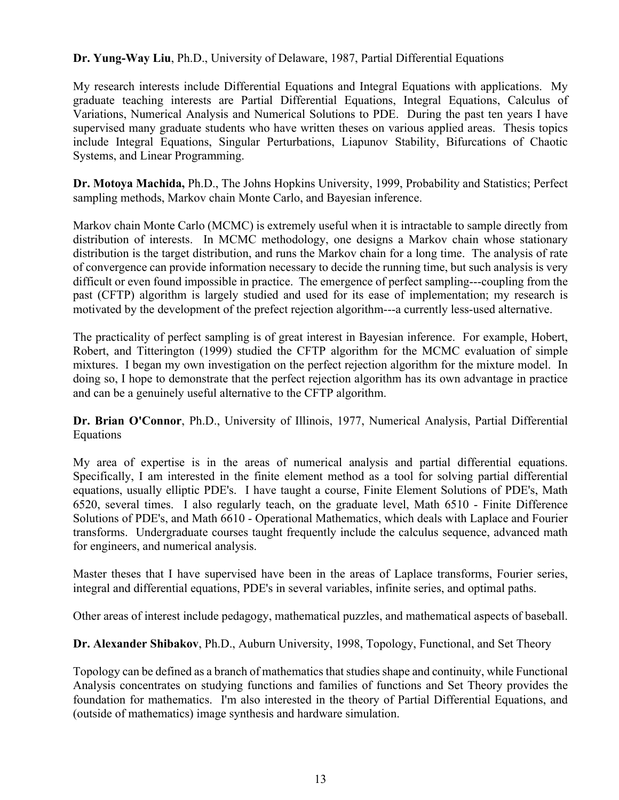## **Dr. Yung-Way Liu**, Ph.D., University of Delaware, 1987, Partial Differential Equations

My research interests include Differential Equations and Integral Equations with applications. My graduate teaching interests are Partial Differential Equations, Integral Equations, Calculus of Variations, Numerical Analysis and Numerical Solutions to PDE. During the past ten years I have supervised many graduate students who have written theses on various applied areas. Thesis topics include Integral Equations, Singular Perturbations, Liapunov Stability, Bifurcations of Chaotic Systems, and Linear Programming.

**Dr. Motoya Machida,** Ph.D., The Johns Hopkins University, 1999, Probability and Statistics; Perfect sampling methods, Markov chain Monte Carlo, and Bayesian inference.

Markov chain Monte Carlo (MCMC) is extremely useful when it is intractable to sample directly from distribution of interests. In MCMC methodology, one designs a Markov chain whose stationary distribution is the target distribution, and runs the Markov chain for a long time. The analysis of rate of convergence can provide information necessary to decide the running time, but such analysis is very difficult or even found impossible in practice. The emergence of perfect sampling---coupling from the past (CFTP) algorithm is largely studied and used for its ease of implementation; my research is motivated by the development of the prefect rejection algorithm---a currently less-used alternative.

The practicality of perfect sampling is of great interest in Bayesian inference. For example, Hobert, Robert, and Titterington (1999) studied the CFTP algorithm for the MCMC evaluation of simple mixtures. I began my own investigation on the perfect rejection algorithm for the mixture model. In doing so, I hope to demonstrate that the perfect rejection algorithm has its own advantage in practice and can be a genuinely useful alternative to the CFTP algorithm.

**Dr. Brian O'Connor**, Ph.D., University of Illinois, 1977, Numerical Analysis, Partial Differential Equations

My area of expertise is in the areas of numerical analysis and partial differential equations. Specifically, I am interested in the finite element method as a tool for solving partial differential equations, usually elliptic PDE's. I have taught a course, Finite Element Solutions of PDE's, Math 6520, several times. I also regularly teach, on the graduate level, Math 6510 - Finite Difference Solutions of PDE's, and Math 6610 - Operational Mathematics, which deals with Laplace and Fourier transforms. Undergraduate courses taught frequently include the calculus sequence, advanced math for engineers, and numerical analysis.

Master theses that I have supervised have been in the areas of Laplace transforms, Fourier series, integral and differential equations, PDE's in several variables, infinite series, and optimal paths.

Other areas of interest include pedagogy, mathematical puzzles, and mathematical aspects of baseball.

**Dr. Alexander Shibakov**, Ph.D., Auburn University, 1998, Topology, Functional, and Set Theory

Topology can be defined as a branch of mathematics that studies shape and continuity, while Functional Analysis concentrates on studying functions and families of functions and Set Theory provides the foundation for mathematics. I'm also interested in the theory of Partial Differential Equations, and (outside of mathematics) image synthesis and hardware simulation.